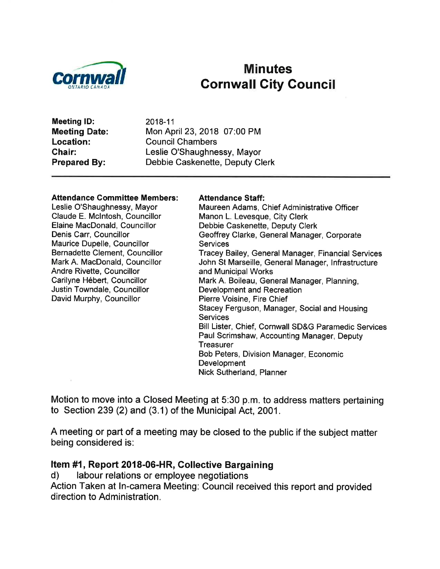

# Minutes<br>Cornwall Cornwall City Council

Meeting lD: Meeting Date: Location: Chair: Prepared By:

2018-11 Mon April 23,2018 07:00 PM Council Chambers Leslie O'Shaughnessy, Mayor Debbie Caskenette, Deputy Clerk

#### Attendance Gommittee Members:

Leslie O'Shaughnessy, Mayor Claude E. Mclntosh, Councillor Elaine MacDonald, Councillor Denis Carr, Councillor Maurice Dupelle, Councillor Bernadette Clement, Councillor Mark A. MacDonald, Councillor Andre Rivette, Councillor Carilyne Hébert, Councillor Justin Towndale, Councillor David Murphy, Councillor

#### Attendance Staff:

Maureen Adams, Chief Administrative Officer Manon L. Levesque, City Clerk Debbie Caskenette, Deputy Clerk Geoffrey Clarke, General Manager, Corporate **Services** Tracey Bailey, General Manager, Financial Services John St Marseille, General Manager, lnfrastructure and Municipal Works Mark A. Boileau, General Manager, Planning, Development and Recreation Pierre Voisine, Fire Chief Stacey Ferguson, Manager, Social and Housing **Services** Bill Lister, Chief, Cornwall SD&G Paramedic Services Paul Scrimshaw, Accounting Manager, Deputy **Treasurer** Bob Peters, Division Manager, Economic **Development** Nick Sutherland, Planner

Motion to move into a CIosed Meeting at 5:30 p.m. to address matters pertaining to Section 239 (2) and (3.1) of the Municipal Act, 2001.

A meeting or part of a meeting may be closed to the public if the subject matter being considered is:

### Item #1, Report 2018-06-HR, Collective Bargaining<br>d) labour relations or employee negotiations

Action Taken at ln-camera Meeting: Council received this report and provided direction to Administration.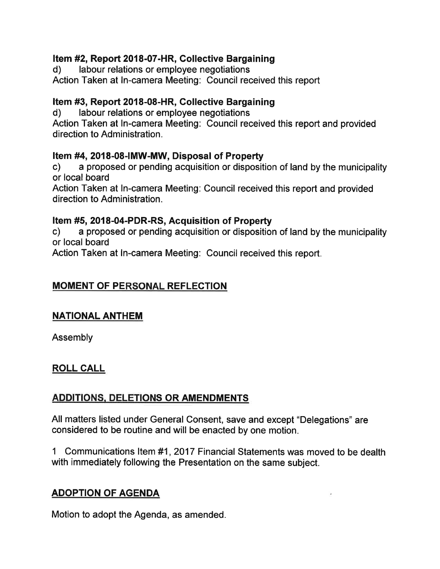## **Item #2, Report 2018-07-HR, Collective Bargaining d)** labour relations or employee negotiations

Action Taken at ln-camera Meeting: Gouncil received this report

## Item #3, Report 2018-08-HR, Collective Bargaining<br>d) labour relations or employee negotiations

Action Taken at ln-camera Meeting: Council received this report and provided direction to Administration.

**ftem #4, 2018-08-IMW-MW, Disposal of Property**<br>c) a proposed or pending acquisition or disposition of land by the municipality or local board

Action Taken at ln-camera Meeting: Council received this report and provided direction to Administration.

Item #5, 2O18-04-PDR-RS, Acquisition of Property c) a proposed or pending acquisition or disposition of land by the municipality or local board

Action Taken at ln-camera Meeting: Council received this report,

#### **MOMENT OF PERSONAL REFLECTION**

#### NATIONAL ANTHEM

Assembly

#### ROLL CALL

#### ADDITIONS, DELETIONS OR AMENDMENTS

All matters listed under General Consent, save and except "Delegations" are considered to be routine and will be enacted by one motion,

1 Communications ltem #1,2017 Financial Statements was moved to be dealth with immediately following the Presentation on the same subject.

#### ADOPTION OF AGENDA

Motion to adopt the Agenda, as amended.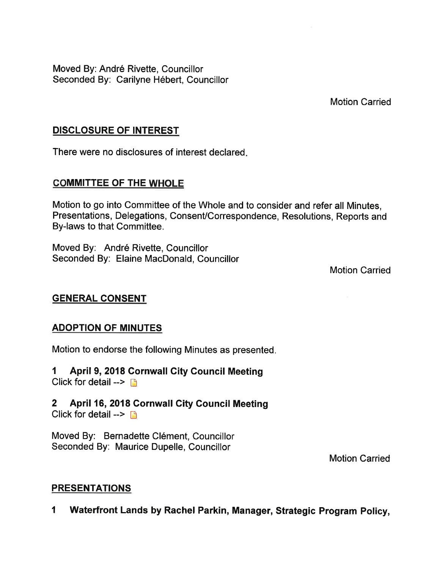Moved By: André Rivette, Councillor Seconded By: Carilyne Hébert, Councillor

Motion Carried

#### DISCLOSURE OF INTEREST

There were no disclosures of interest declared

#### **COMMITTEE OF THE WHOLE**

Motion to go into Committee of the Whole and to consider and refer all Minutes, Presentations, Delegations, Consent/Correspondence, Resolutions, Reports and By-laws to that Committee.

Moved By: André Rivette, Councillor Seconded By: Elaine MacDonald, Councillor

Motion Carried

#### GENERAL CONSENT

#### ADOPTION OF MINUTES

Motion to endorse the following Minutes as presented

I April 9,2018 Cornwall Gity Council Meeting Click for detail  $\rightarrow \Box$ 

2 April 16,2018 Cornwall City Council Meeting Click for detail  $\rightarrow \Box$ 

Moved By: Bernadette Clément, Councillor Seconded By: Maurice Dupelle, Councillor

Motion Carried

#### PRESENTATIONS

I Waterfront Lands by Rachel Parkin, Manager, Strategic Program Policy,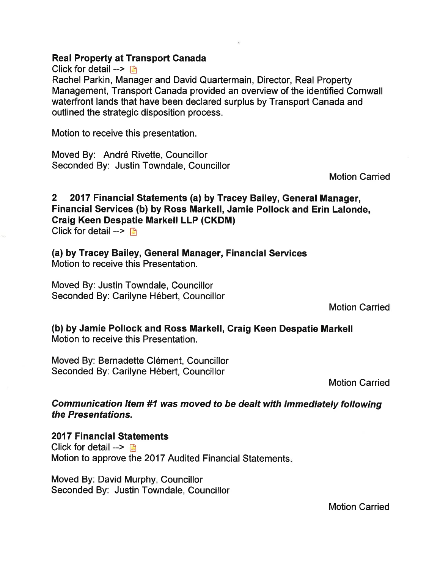#### Real Property at Transport Ganada

Click for detail  $\rightarrow \mathbb{R}$ 

Rachel Parkin, Manager and David Quartermain, Director, Real Property Management, Transport Canada provided an overview of the identified Gornwall waterfront lands that have been declared surplus by Transport Canada and outlined the strategic disposition process.

Motion to receive this presentation.

Moved By: André Rivette, Councillor Seconded By: Justin Towndale, Councillor

Motion Carried

2 2017 Financial Statements (a) by Tracey Bailey, General Manager, Financial Services (b) by Ross Markell, Jamie Pollock and Erin Lalonde, Graig Keen Despatie Markell LLP (CKDM) Click for detail  $\rightarrow$   $\rightarrow$ 

(a) by Tracey Bailey, General Manager, Financial Services Motion to receive this Presentation.

Moved By: Justin Towndale, Councillor Seconded By: Carilyne Hébert, Councillor

Motion Carried

(b) by Jamie Pollock and Ross Markell, Graig Keen Despatie Markell Motion to receive this Presentation.

Moved By: Bernadette Clément, Councillor Seconded By: Carilyne Hébert, Councillor

Motion Carried

Communication ltem #1 was moved to be dealt with immediately following the Presentations.

2017 Financial Statements Click for detail  $\rightarrow \mathbb{R}$ Motion to approve the 2017 Audited Financial Statements

Moved By: David Murphy, Councillor Seconded By: Justin Towndale, Councillor

Motion Carried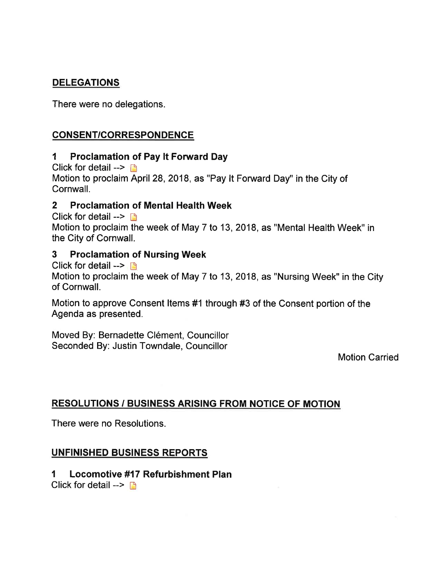#### DELEGATIONS

There were no delegations.

#### CONSENT/CORRESPONDENCE

#### I Proclamation of Pay lt Forward Day

Click for detail  $\rightarrow$   $\rightarrow$ Motion to proclaim April 28, 2018, as "Pay It Forward Day" in the City of Cornwall.

#### 2 Proclamation of Mental Health Week

Click for detail -->  $\Box$ Motion to proclaim the week of May 7 to 13,2018, as "Mental Health Week" in the City of Cornwall.

#### 3 Proclamation of Nursing Week

Click for detail  $\rightarrow$  [3]

Motion to proclaim the week of May 7 to 13,2018, as "Nursing Week" in the City of Cornwall.

Motion to approve Consent ltems #1 through #3 of the Consent portion of the Agenda as presented.

Moved By: Bernadette Clément, Councillor Seconded By: Justin Towndale, Councillor

Motion Carried

#### RESOLUTIONS / BUSINESS ARISING FROM NOTICE OF MOTION

There were no Resolutions.

#### UNFINISHED BUSINESS REPORTS

#### I Locomotive #17 Refurbishment Plan

Click for detail  $\rightarrow$  D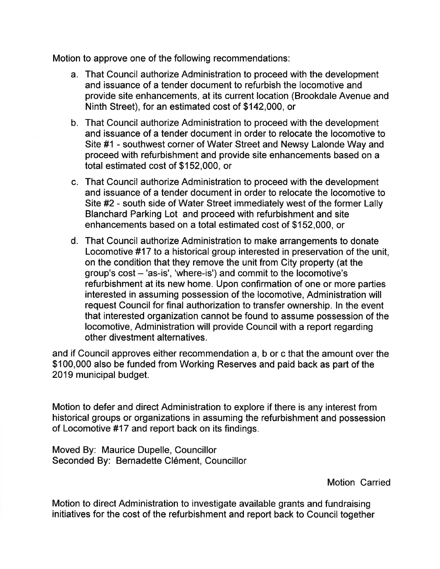Motion to approve one of the following recommendations:

- a. That Council authorize Administration to proceed with the development and issuance of a tender document to refurbish the locomotive and provide site enhancements, at its current location (Brookdale Avenue and Ninth Street), for an estimated cost of \$142,000, or
- b. That Council authorize Administration to proceed with the development and issuance of a tender document in order to relocate the locomotive to Site #1 - southwest corner of Water Street and Newsy Lalonde Way and proceed with refurbishment and provide site enhancements based on a total estimated cost of \$152,000, or
- c. That Council authorize Administration to proceed with the development and issuance of a tender document in order to relocate the locomotive to Site #2 - south side of Water Street immediately west of the former Lally Blanchard Parking Lot and proceed with refurbishment and site enhancements based on a total estimated cost of \$152,000, or
- d. That Council authorize Administration to make arrangements to donate Locomotive #17 to a historical group interested in preservation of the unit, on the condition that they remove the unit from City property (at the group's  $cost - 'as-is', 'where-is')$  and commit to the locomotive's refurbishment at its new home. Upon confirmation of one or more parties interested in assuming possession of the locomotive, Administration will request Council for final authorization to transfer ownership. In the event that interested organization cannot be found to assume possession of the locomotive, Administration will provide Council with a report regarding other divestment alternatives.

and if Council approves either recommendation a, b or c that the amount over the \$100,000 also be funded from Working Reserves and paid back as part of the 2019 municipal budget.

Motion to defer and direct Administration to explore if there is any interest from historical groups or organizations in assuming the refurbishment and possession of Locomotive #17 and report back on its findings.

Moved By: Maurice Dupelle, Councillor Seconded By: Bernadette Clément, Councillor

Motion Carried

Motion to direct Administration to investigate available grants and fundraising initiatives for the cost of the refurbishment and report back to Council together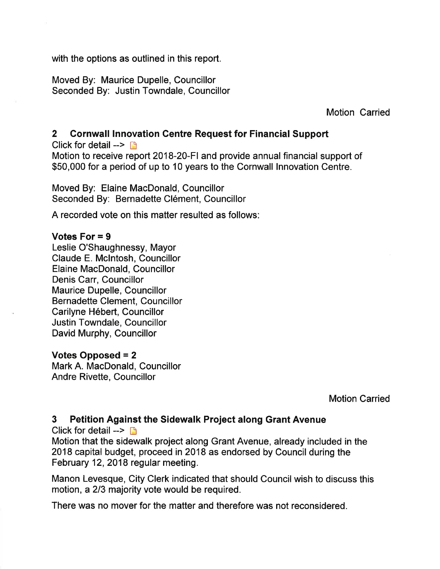with the options as outlined in this report.

Moved By: Maurice Dupelle, Councillor Seconded By: Justin Towndale, Councillor

Motion Carried

#### 2 Cornwall lnnovation Centre Request for Financial Support

Click for detail  $\rightarrow$   $\rightarrow$ Motion to receive report 2018-20-Fl and provide annual financial support of \$50,000 for a period of up to 10 years to the Cornwall Innovation Centre.

Moved By: Elaine MacDonald, Councillor Seconded By: Bernadette Clément, Councillor

A recorded vote on this matter resulted as follows:

#### Votes For = 9

Leslie O'Shaughnessy, Mayor Claude E. Mclntosh, Councillor Elaine MacDonald, Councillor Denis Carr, Councillor Maurice Dupelle, Councillor Bernadette Clement, Councillor Carilyne Hébert, Councillor Justin Towndale, Councillor David Murphy, Councillor

#### Votes Opposed  $= 2$

Mark A. MacDonald, Councillor Andre Rivette, Councillor

Motion Carried

#### 3 Petition Against the Sidewalk Project along Grant Avenue

Click for detail  $\rightarrow$  n

Motion that the sidewalk project along Grant Avenue, already included in the 2018 capital budget, proceed in 2018 as endorsed by Council during the February 12,2018 regular meeting.

Manon Levesque, City Clerk indicated that should Council wish to discuss this motion, a 213 majority vote would be required.

There was no mover for the matter and therefore was not reconsidered.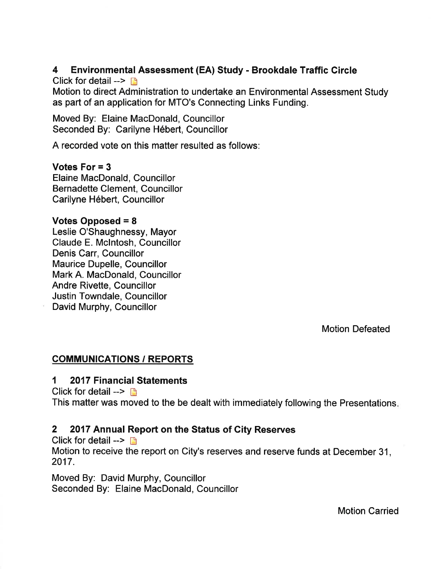#### 4 Environmental Assessment (EA) Study - Brookdale Traffic Gircle

Click for detail  $\rightarrow \Box$ 

Motion to direct Administration to undertake an Environmental Assessment Study as part of an application for MTO's Connecting Links Funding.

Moved By: Elaine MacDonald, Councillor Seconded By: Carilyne Hébert, Councillor

A recorded vote on this matter resulted as follows:

#### Votes For = 3

Elaine MacDonald, Councillor Bernadette Glement, Councillor Carilyne Hébert, Councillor

#### Votes Opposed = 8

Leslie O'Shaughnessy, Mayor Claude E. Mclntosh, Councillor Denis Carr, Councillor Maurice Dupelle, Councillor Mark A. MacDonald, Councillor Andre Rivette, Councillor Justin Towndale, Councillor David Murphy, Councillor

Motion Defeated

#### COMMUNICATIONS / REPORTS

#### 'l 2017 Financial Statements

Click for detail  $\rightarrow \Box$ 

This matter was moved to the be dealt with immediately following the Presentations

#### 2 2017 Annual Report on the Status of City Reserves

Click for detail  $\rightarrow$  n

Motion to receive the report on City's reserves and reserve funds at December 31, 2017.

Moved By: David Murphy, Councillor Seconded By: Elaine MacDonald, Councillor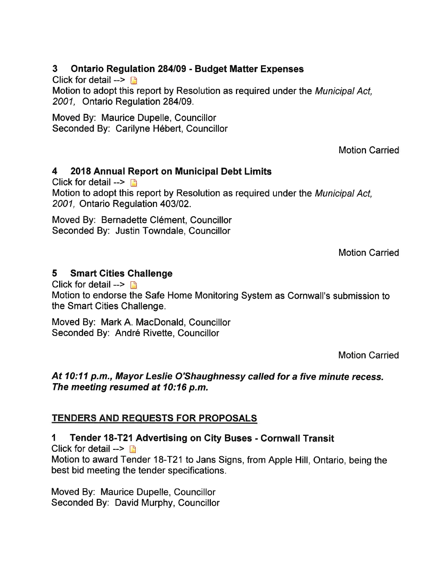#### 3 Ontario Regulation 284109 - Budget Matter Expenses

Click for detail  $\rightarrow$  n

Motion to adopt this report by Resolution as required under the Municipal Act, 2001, Ontario Regulation 284/09.

Moved By: Maurice Dupelle, Councillor Seconded By: Carilyne Hébert, Councillor

Motion Carried

### 4 2018 Annual Report on Municipal Debt Limits

Click for detail  $\rightarrow \rightarrow$ 

Motion to adopt this report by Resolution as required under the Municipal Act, 2001, Ontario Regulation 403102.

Moved By: Bernadette Clément, Councillor Seconded By: Justin Towndale, Councillor

Motion Carried

#### 5 Smart Cities Ghallenge

Click for detail  $\rightarrow$  n

Motion to endorse the Safe Home Monitoring System as Cornwall's submission to the Smart Cities Challenge.

Moved By: Mark A. MacDonald, Councillor Seconded By: André Rivette, Councillor

Motion Carried

#### At 10:11 p.m., Mayor Leslie O'Shaughnessy called for a five minute recess. The meeting resumed at 10:16 p.m.

### TENDERS AND REQUESTS FOR PROPOSALS

1 Tende¡ 18-T2l Advertising on Gity Buses - Cornwall Transit

Click for detail  $\rightarrow$  n

Motion to award Tender 18-T21 to Jans Signs, from Apple Hill, Ontario, being the best bid meeting the tender specifications.

Moved By: Maurice Dupelle, Councillor Seconded By: David Murphy, Councillor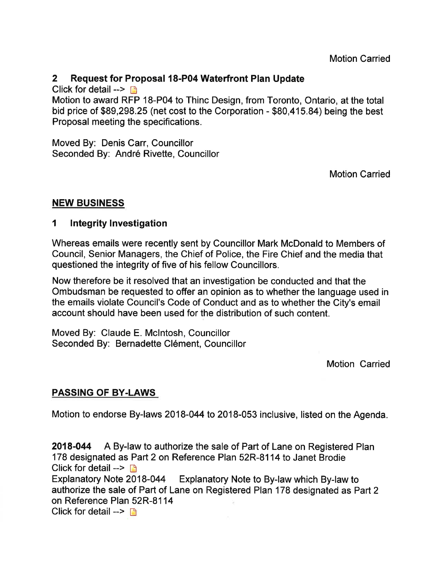#### 2 Request for Proposal l8-P04 Waterfront Plan Update

Click for detail  $\rightarrow \rightarrow \rightarrow$ 

Motion to award RFP 18-P04 to Thinc Design, from Toronto, Ontario, at the total bid price of \$89,298.25 (net cost to the Corporation - \$80,415.84) being the best Proposal meeting the specifications.

Moved By: Denis Carr, Councillor Seconded By: André Rivette, Councillor

Motion Carried

#### NEW BUSINESS

#### 1 Integrity Investigation

Whereas emails were recently sent by Councillor Mark McDonald to Members of Council, Senior Managers, the Chief of Police, the Fire Chief and the media that questioned the integrity of five of his fellow Councillors.

Now therefore be it resolved that an investigation be conducted and that the Ombudsman be requested to offer an opinion as to whether the language used in the emails violate Council's Code of Conduct and as to whether the City's email account should have been used for the distribution of such content.

Moved By: Claude E. Mclntosh, Councillor Seconded By: Bernadette Clément, Councillor

Motion Carried

#### PASSING OF BY.LAWS

Motion to endorse By-laws 2018-044 to 2018-053 inclusive, listed on the Agenda.

2018-044 A By-law to authorize the sale of Part of Lane on Registered Plan 178 designated as Part 2 on Reference Plan 52R-8114 to Janet Brodie Click for detail  $\rightarrow$  n Explanatory Note 2018-044 Explanatory Note to By-law which By-law to authorize the sale of Part of Lane on Registered Plan 178 designated as Part 2 on Reference Plan 52R-8114

Click for detail  $\rightarrow$  D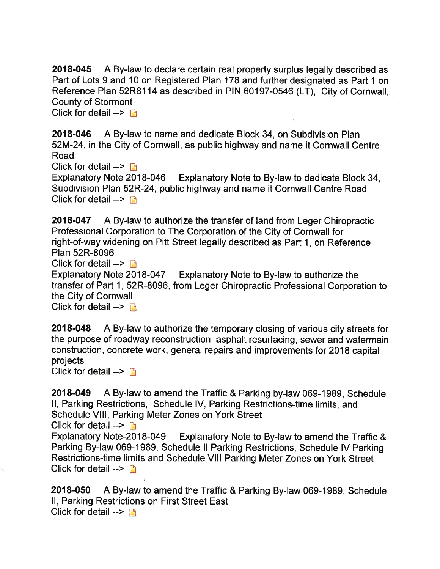2018-045 A By-law to declare certain real property surplus legally described as Part of Lots 9 and 10 on Registered Plan 178 and further designated as Part 1 on Reference Plan 52R81 14 as described in PIN 60197-0546 (LT), City of Cornwall, County of Stormont

Click for detail  $\rightarrow \Box$ 

2018-046 A By-law to name and dedicate Block 34, on Subdivision Plan 52M-24, in the City of Cornwall, as public highway and name it Cornwall Centre Road

Click for detail -->  $\Box$ <br>Explanatory Note 2018-046 Explanatory Note to By-law to dedicate Block 34, Subdivision PIan 52R-24, public highway and name it Cornwall Centre Road Click for detail  $\rightarrow$  [f]

2018-047 A By-law to authorize the transfer of land from Leger Chiropractic Professional Corporation to The Corporation of the City of Cornwall for right-of-way widening on Pitt Street legally described as Part 1, on Reference Plan 52R-8096

Click for detail  $\rightarrow$  n

Explanatory Note 2018-047 Explanatory Note to By-law to authorize the transfer of Part 1, 52R-8096, from Leger Chiropractic Professional Corporation to the City of Cornwall

Click for detail  $\rightarrow$   $\rightarrow$ 

2018-048 A By-law to authorize the temporary closing of various city streets for the purpose of roadway reconstruction, asphalt resurfacing, sewer and watermain construction, concrete work, general repairs and improvements for 2018 capital projects

Click for detail  $\rightarrow \Box$ 

2018-049 A By-law to amend the Traffic & Parking by-law 069-1989, Schedule ll, Parking Restrictions, Schedule lV, Parking Restrictions-time limits, and Schedule Vlll, Parking Meter Zones on York Street

Click for detail  $\rightarrow \rightarrow$ 

Explanatory Note-2O18-049 Explanatory Note to By-law to amend the Traffic & Parking By-law 069-1989, Schedule ll Parking Restrictions, Schedule lV Parking Restrictions-time limits and Schedule Vlll Parking Meter Zones on York Street Click for detail  $\rightarrow$  **D** 

2018-050 A By-law to amend the Traffic & Parking By-law 069-1989, Schedule ll, Parking Restrictions on First Street East Click for detail  $\rightarrow$   $\rightarrow$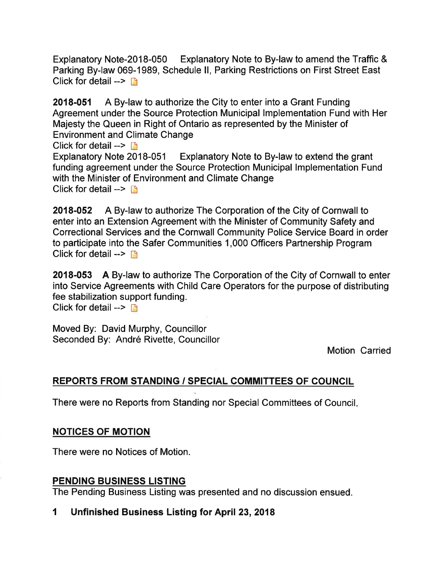Explanatory Note-2018-050 Explanatory Note to By-law to amend the Traffic & Parking By-law 069-1989, Schedule ll, Parking Restrictions on First Street East Click for detail  $\rightarrow$  n

2018-051 A By-law to authorize the City to enter into a Grant Funding Agreement under the Source Protection Municipal lmplementation Fund with Her Majesty the Queen in Right of Ontario as represented by the Minister of Environment and Climate Change Click for detail  $\rightarrow \Box$ Explanatory Note 2018-051 Explanatory Note to By-law to extend the grant

funding agreement under the Source Protection Municipal lmplementation Fund with the Minister of Environment and Climate Change Click for detail  $\rightarrow$  n

2018-052 A By-law to authorize The Corporation of the City of Cornwall to enter into an Extension Agreement with the Minister of Community Safety and Correctional Services and the Cornwall Community Police Service Board in order to participate into the Safer Communities 1,000 Officers Partnership Program Click for detail  $\rightarrow$  n

2018-053 A By-law to authorize The Corporation of the City of Cornwall to enter into Service Agreements with Child Care Operators for the purpose of distributing fee stabilization support funding. Click for detail  $\rightarrow \Box$ 

Moved By: David Murphy, Councillor Seconded By: André Rivette, Councillor

Motion Carried

#### REPORTS FROM STANDING / SPECIAL COMMITTEES OF COUNCIL

There were no Reports from Standing nor Special Committees of Council

#### NOTICES OF MOTION

There were no Notices of Motion.

#### PENDING BUSINESS LISTING

The Pending Business Listing was presented and no discussion ensued.

#### 1 Unfinished Business Listing for April 23,2018